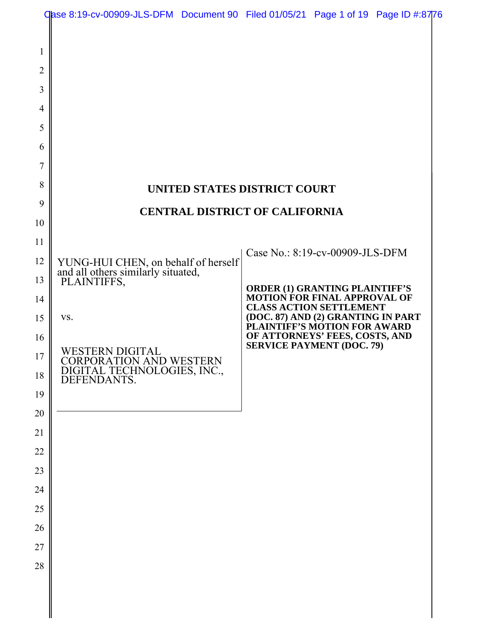|                                                                                                                | Case 8:19-cv-00909-JLS-DFM Document 90 Filed 01/05/21 Page 1 of 19 Page ID #:8776                                                                                                           |                                                                                                                                                                                                                                                                                        |  |
|----------------------------------------------------------------------------------------------------------------|---------------------------------------------------------------------------------------------------------------------------------------------------------------------------------------------|----------------------------------------------------------------------------------------------------------------------------------------------------------------------------------------------------------------------------------------------------------------------------------------|--|
| 1<br>$\overline{2}$<br>3<br>4<br>5<br>6<br>7<br>8<br>9                                                         |                                                                                                                                                                                             | <b>UNITED STATES DISTRICT COURT</b><br><b>CENTRAL DISTRICT OF CALIFORNIA</b>                                                                                                                                                                                                           |  |
| 10<br>11<br>12<br>13<br>14<br>15<br>16<br>17<br>18<br>19<br>20<br>21<br>22<br>23<br>24<br>25<br>26<br>27<br>28 | YUNG-HUI CHEN, on behalf of herself<br>and all others similarly situated,<br>PLAINTIFFS,<br>VS.<br>WESTERN DIGITAL<br>CORPORATION AND WESTERN<br>DIGITAL TECHNOLOGIES, INC.,<br>DEFENDANTS. | Case No.: 8:19-cv-00909-JLS-DFM<br><b>ORDER (1) GRANTING PLAINTIFF'S</b><br><b>MOTION FOR FINAL APPROVAL OF</b><br><b>CLASS ACTION SETTLEMENT</b><br>(DOC. 87) AND (2) GRANTING IN PART<br>PLAINTIFF'S MOTION FOR AWARD<br>OF ATTORNEYS' FEES, COSTS, AND<br>SERVICE PAYMENT (DOC. 79) |  |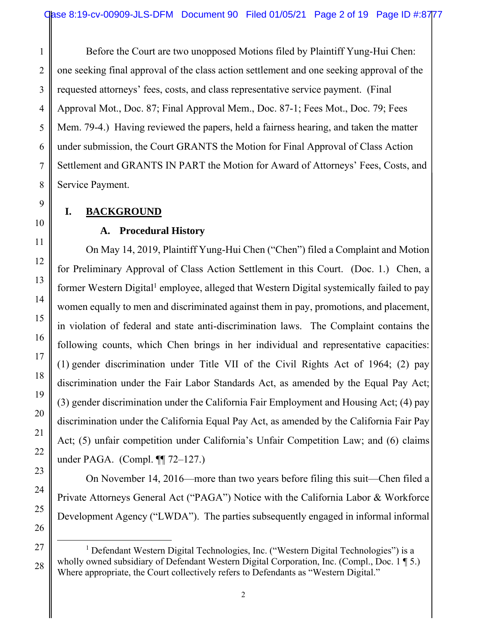requested attorneys' fees, costs, and class representative service payment. (Final Before the Court are two unopposed Motions filed by Plaintiff Yung-Hui Chen: one seeking final approval of the class action settlement and one seeking approval of the Approval Mot., Doc. 87; Final Approval Mem., Doc. 87-1; Fees Mot., Doc. 79; Fees Mem. 79-4.) Having reviewed the papers, held a fairness hearing, and taken the matter under submission, the Court GRANTS the Motion for Final Approval of Class Action Settlement and GRANTS IN PART the Motion for Award of Attorneys' Fees, Costs, and Service Payment.

# **I. BACKGROUND**

### **A. Procedural History**

On May 14, 2019, Plaintiff Yung-Hui Chen ("Chen") filed a Complaint and Motion for Preliminary Approval of Class Action Settlement in this Court. (Doc. 1.) Chen, a former Western Digital<sup>1</sup> employee, alleged that Western Digital systemically failed to pay women equally to men and discriminated against them in pay, promotions, and placement, in violation of federal and state anti-discrimination laws. The Complaint contains the following counts, which Chen brings in her individual and representative capacities: (1) gender discrimination under Title VII of the Civil Rights Act of 1964; (2) pay discrimination under the Fair Labor Standards Act, as amended by the Equal Pay Act; (3) gender discrimination under the California Fair Employment and Housing Act; (4) pay discrimination under the California Equal Pay Act, as amended by the California Fair Pay Act; (5) unfair competition under California's Unfair Competition Law; and (6) claims under PAGA. (Compl. ¶¶ 72–127.)

On November 14, 2016—more than two years before filing this suit—Chen filed a Private Attorneys General Act ("PAGA") Notice with the California Labor & Workforce Development Agency ("LWDA"). The parties subsequently engaged in informal informal

1

<sup>&</sup>lt;sup>1</sup> Defendant Western Digital Technologies, Inc. ("Western Digital Technologies") is a wholly owned subsidiary of Defendant Western Digital Corporation, Inc. (Compl., Doc. 1 ¶ 5.) Where appropriate, the Court collectively refers to Defendants as "Western Digital."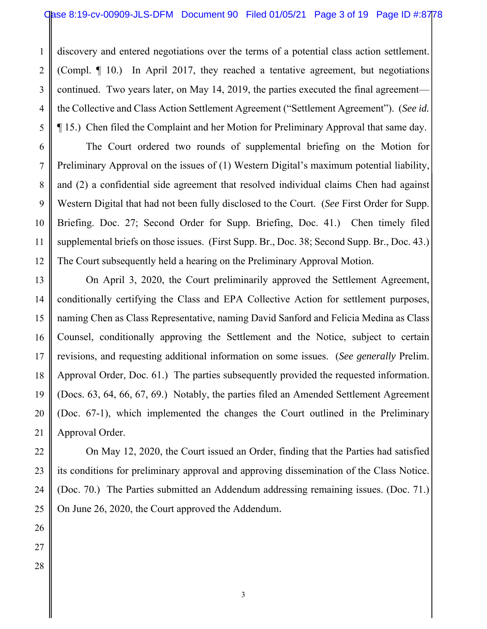continued. Two years later, on May 14, 2019, the parties executed the final agreement discovery and entered negotiations over the terms of a potential class action settlement. (Compl. ¶ 10.) In April 2017, they reached a tentative agreement, but negotiations the Collective and Class Action Settlement Agreement ("Settlement Agreement"). (*See id.* ¶ 15.) Chen filed the Complaint and her Motion for Preliminary Approval that same day.

The Court ordered two rounds of supplemental briefing on the Motion for Preliminary Approval on the issues of (1) Western Digital's maximum potential liability, and (2) a confidential side agreement that resolved individual claims Chen had against Western Digital that had not been fully disclosed to the Court. (*See* First Order for Supp. Briefing. Doc. 27; Second Order for Supp. Briefing, Doc. 41.) Chen timely filed supplemental briefs on those issues. (First Supp. Br., Doc. 38; Second Supp. Br., Doc. 43.) The Court subsequently held a hearing on the Preliminary Approval Motion.

On April 3, 2020, the Court preliminarily approved the Settlement Agreement, conditionally certifying the Class and EPA Collective Action for settlement purposes, naming Chen as Class Representative, naming David Sanford and Felicia Medina as Class Counsel, conditionally approving the Settlement and the Notice, subject to certain revisions, and requesting additional information on some issues. (*See generally* Prelim. Approval Order, Doc. 61.) The parties subsequently provided the requested information. (Docs. 63, 64, 66, 67, 69.) Notably, the parties filed an Amended Settlement Agreement (Doc. 67-1), which implemented the changes the Court outlined in the Preliminary Approval Order.

On May 12, 2020, the Court issued an Order, finding that the Parties had satisfied its conditions for preliminary approval and approving dissemination of the Class Notice. (Doc. 70.) The Parties submitted an Addendum addressing remaining issues. (Doc. 71.) On June 26, 2020, the Court approved the Addendum.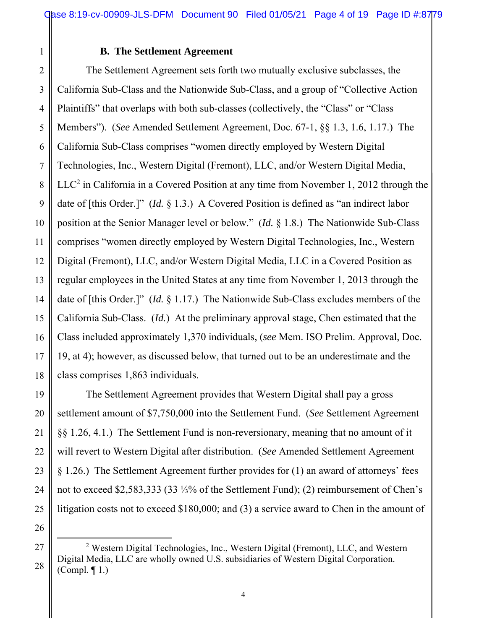#### **B. The Settlement Agreement**

 California Sub-Class and the Nationwide Sub-Class, and a group of "Collective Action 2 3 4 5 6 The Settlement Agreement sets forth two mutually exclusive subclasses, the Plaintiffs" that overlaps with both sub-classes (collectively, the "Class" or "Class Members"). (*See* Amended Settlement Agreement, Doc. 67-1, §§ 1.3, 1.6, 1.17.) The California Sub-Class comprises "women directly employed by Western Digital Technologies, Inc., Western Digital (Fremont), LLC, and/or Western Digital Media,  $LLC<sup>2</sup>$  in California in a Covered Position at any time from November 1, 2012 through the date of [this Order.]" (*Id.* § 1.3.) A Covered Position is defined as "an indirect labor position at the Senior Manager level or below." (*Id.* § 1.8.) The Nationwide Sub-Class comprises "women directly employed by Western Digital Technologies, Inc., Western Digital (Fremont), LLC, and/or Western Digital Media, LLC in a Covered Position as regular employees in the United States at any time from November 1, 2013 through the date of [this Order.]" (*Id.* § 1.17.) The Nationwide Sub-Class excludes members of the California Sub-Class. (*Id.*) At the preliminary approval stage, Chen estimated that the Class included approximately 1,370 individuals, (*see* Mem. ISO Prelim. Approval, Doc. 19, at 4); however, as discussed below, that turned out to be an underestimate and the class comprises 1,863 individuals.

The Settlement Agreement provides that Western Digital shall pay a gross settlement amount of \$7,750,000 into the Settlement Fund. (*See* Settlement Agreement §§ 1.26, 4.1.) The Settlement Fund is non-reversionary, meaning that no amount of it will revert to Western Digital after distribution. (*See* Amended Settlement Agreement § 1.26.) The Settlement Agreement further provides for (1) an award of attorneys' fees not to exceed \$2,583,333 (33 ⅓% of the Settlement Fund); (2) reimbursement of Chen's litigation costs not to exceed \$180,000; and (3) a service award to Chen in the amount of

<sup>&</sup>lt;sup>2</sup> Western Digital Technologies, Inc., Western Digital (Fremont), LLC, and Western Digital Media, LLC are wholly owned U.S. subsidiaries of Western Digital Corporation. (Compl. ¶ 1.)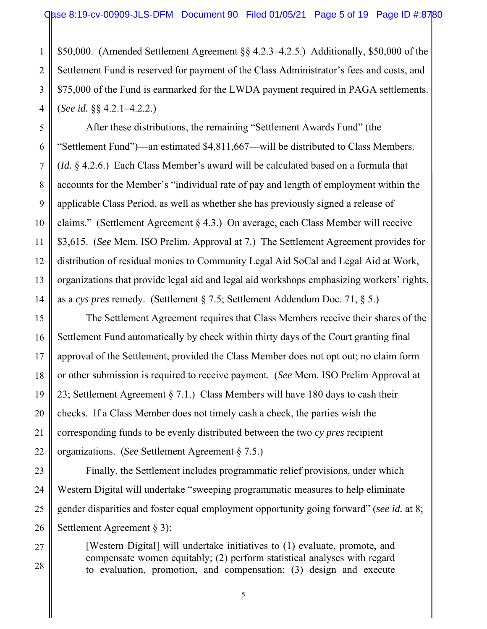\$75,000 of the Fund is earmarked for the LWDA payment required in PAGA settlements. \$50,000. (Amended Settlement Agreement §§ 4.2.3–4.2.5.) Additionally, \$50,000 of the Settlement Fund is reserved for payment of the Class Administrator's fees and costs, and (*See id.* §§ 4.2.1–4.2.2.)

After these distributions, the remaining "Settlement Awards Fund" (the "Settlement Fund")—an estimated \$4,811,667—will be distributed to Class Members. (*Id.* § 4.2.6.) Each Class Member's award will be calculated based on a formula that accounts for the Member's "individual rate of pay and length of employment within the applicable Class Period, as well as whether she has previously signed a release of claims." (Settlement Agreement § 4.3.) On average, each Class Member will receive \$3,615. (*See* Mem. ISO Prelim. Approval at 7.) The Settlement Agreement provides for distribution of residual monies to Community Legal Aid SoCal and Legal Aid at Work, organizations that provide legal aid and legal aid workshops emphasizing workers' rights, as a *cys pres* remedy. (Settlement § 7.5; Settlement Addendum Doc. 71, § 5.)

The Settlement Agreement requires that Class Members receive their shares of the Settlement Fund automatically by check within thirty days of the Court granting final approval of the Settlement, provided the Class Member does not opt out; no claim form or other submission is required to receive payment. (*See* Mem. ISO Prelim Approval at 23; Settlement Agreement § 7.1.) Class Members will have 180 days to cash their checks. If a Class Member does not timely cash a check, the parties wish the corresponding funds to be evenly distributed between the two *cy pres* recipient organizations. (*See* Settlement Agreement § 7.5.)

Finally, the Settlement includes programmatic relief provisions, under which Western Digital will undertake "sweeping programmatic measures to help eliminate gender disparities and foster equal employment opportunity going forward" (*see id.* at 8; Settlement Agreement § 3):

[Western Digital] will undertake initiatives to (1) evaluate, promote, and compensate women equitably; (2) perform statistical analyses with regard to evaluation, promotion, and compensation; (3) design and execute

1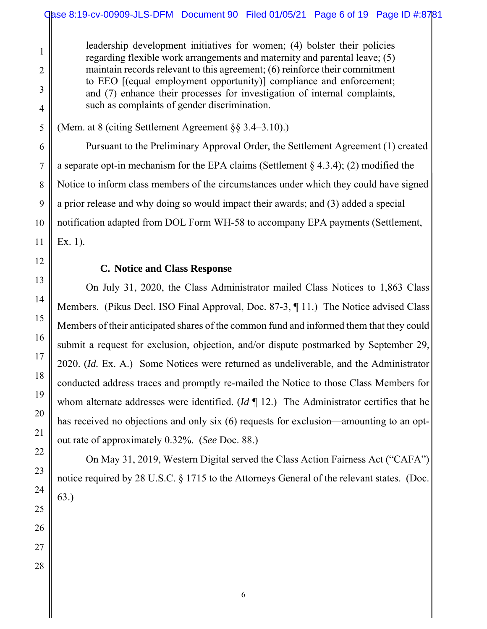leadership development initiatives for women; (4) bolster their policies regarding flexible work arrangements and maternity and parental leave; (5) maintain records relevant to this agreement; (6) reinforce their commitment to EEO [(equal employment opportunity)] compliance and enforcement; and (7) enhance their processes for investigation of internal complaints, such as complaints of gender discrimination.

(Mem. at 8 (citing Settlement Agreement §§ 3.4–3.10).)

Pursuant to the Preliminary Approval Order, the Settlement Agreement (1) created a separate opt-in mechanism for the EPA claims (Settlement § 4.3.4); (2) modified the Notice to inform class members of the circumstances under which they could have signed a prior release and why doing so would impact their awards; and (3) added a special notification adapted from DOL Form WH-58 to accompany EPA payments (Settlement, Ex. 1).

### **C. Notice and Class Response**

On July 31, 2020, the Class Administrator mailed Class Notices to 1,863 Class Members. (Pikus Decl. ISO Final Approval, Doc. 87-3, ¶ 11.) The Notice advised Class Members of their anticipated shares of the common fund and informed them that they could submit a request for exclusion, objection, and/or dispute postmarked by September 29, 2020. (*Id.* Ex. A.) Some Notices were returned as undeliverable, and the Administrator conducted address traces and promptly re-mailed the Notice to those Class Members for whom alternate addresses were identified. (*Id* ¶ 12.) The Administrator certifies that he has received no objections and only six (6) requests for exclusion—amounting to an optout rate of approximately 0.32%. (*See* Doc. 88.)

On May 31, 2019, Western Digital served the Class Action Fairness Act ("CAFA") notice required by 28 U.S.C. § 1715 to the Attorneys General of the relevant states. (Doc. 63.)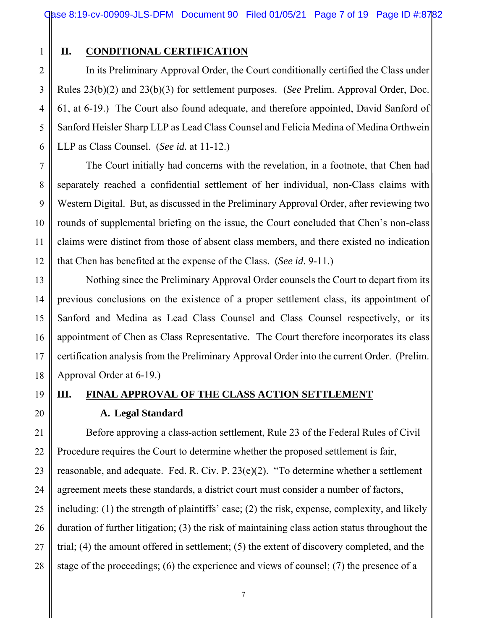1 2

3

4

5

#### **II. CONDITIONAL CERTIFICATION**

 Rules 23(b)(2) and 23(b)(3) for settlement purposes. (*See* Prelim. Approval Order, Doc. In its Preliminary Approval Order, the Court conditionally certified the Class under 61, at 6-19.) The Court also found adequate, and therefore appointed, David Sanford of Sanford Heisler Sharp LLP as Lead Class Counsel and Felicia Medina of Medina Orthwein LLP as Class Counsel. (*See id.* at 11-12.)

The Court initially had concerns with the revelation, in a footnote, that Chen had separately reached a confidential settlement of her individual, non-Class claims with Western Digital. But, as discussed in the Preliminary Approval Order, after reviewing two rounds of supplemental briefing on the issue, the Court concluded that Chen's non-class claims were distinct from those of absent class members, and there existed no indication that Chen has benefited at the expense of the Class. (*See id*. 9-11.)

Nothing since the Preliminary Approval Order counsels the Court to depart from its previous conclusions on the existence of a proper settlement class, its appointment of Sanford and Medina as Lead Class Counsel and Class Counsel respectively, or its appointment of Chen as Class Representative. The Court therefore incorporates its class certification analysis from the Preliminary Approval Order into the current Order. (Prelim. Approval Order at 6-19.)

**III. FINAL APPROVAL OF THE CLASS ACTION SETTLEMENT A. Legal Standard** 

Before approving a class-action settlement, Rule 23 of the Federal Rules of Civil Procedure requires the Court to determine whether the proposed settlement is fair, reasonable, and adequate. Fed. R. Civ. P. 23(e)(2). "To determine whether a settlement agreement meets these standards, a district court must consider a number of factors, including: (1) the strength of plaintiffs' case; (2) the risk, expense, complexity, and likely duration of further litigation; (3) the risk of maintaining class action status throughout the trial; (4) the amount offered in settlement; (5) the extent of discovery completed, and the stage of the proceedings; (6) the experience and views of counsel; (7) the presence of a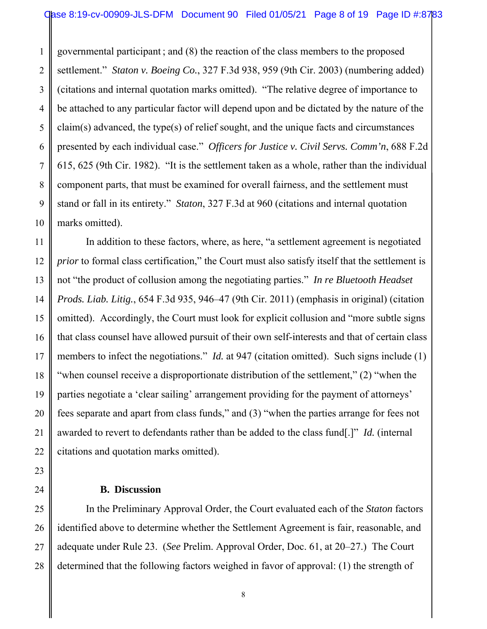(citations and internal quotation marks omitted). "The relative degree of importance to 1 2 3 governmental participant ; and (8) the reaction of the class members to the proposed settlement." *Staton v. Boeing Co.*, 327 F.3d 938, 959 (9th Cir. 2003) (numbering added) be attached to any particular factor will depend upon and be dictated by the nature of the claim(s) advanced, the type(s) of relief sought, and the unique facts and circumstances presented by each individual case." *Officers for Justice v. Civil Servs. Comm'n*, 688 F.2d 615, 625 (9th Cir. 1982). "It is the settlement taken as a whole, rather than the individual component parts, that must be examined for overall fairness, and the settlement must stand or fall in its entirety." *Staton*, 327 F.3d at 960 (citations and internal quotation marks omitted).

In addition to these factors, where, as here, "a settlement agreement is negotiated *prior* to formal class certification," the Court must also satisfy itself that the settlement is not "the product of collusion among the negotiating parties." *In re Bluetooth Headset Prods. Liab. Litig.*, 654 F.3d 935, 946–47 (9th Cir. 2011) (emphasis in original) (citation omitted). Accordingly, the Court must look for explicit collusion and "more subtle signs that class counsel have allowed pursuit of their own self-interests and that of certain class members to infect the negotiations." *Id.* at 947 (citation omitted). Such signs include (1) "when counsel receive a disproportionate distribution of the settlement," (2) "when the parties negotiate a 'clear sailing' arrangement providing for the payment of attorneys' fees separate and apart from class funds," and (3) "when the parties arrange for fees not awarded to revert to defendants rather than be added to the class fund[.]" *Id.* (internal citations and quotation marks omitted).

#### **B. Discussion**

In the Preliminary Approval Order, the Court evaluated each of the *Staton* factors identified above to determine whether the Settlement Agreement is fair, reasonable, and adequate under Rule 23. (*See* Prelim. Approval Order, Doc. 61, at 20–27.) The Court determined that the following factors weighed in favor of approval: (1) the strength of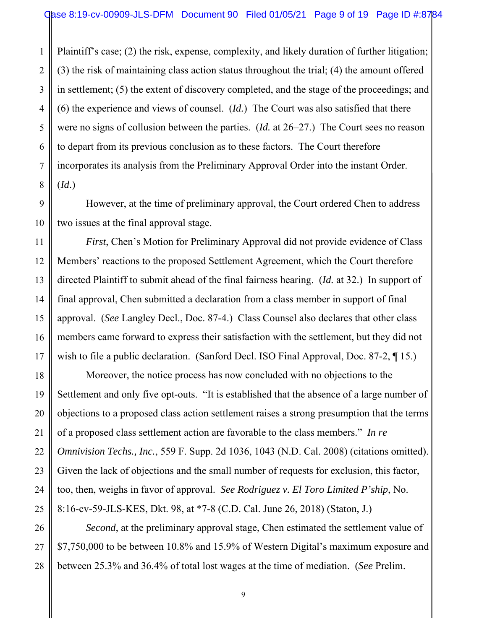in settlement; (5) the extent of discovery completed, and the stage of the proceedings; and Plaintiff's case; (2) the risk, expense, complexity, and likely duration of further litigation; (3) the risk of maintaining class action status throughout the trial; (4) the amount offered (6) the experience and views of counsel. (*Id.*) The Court was also satisfied that there were no signs of collusion between the parties. (*Id.* at 26–27.) The Court sees no reason to depart from its previous conclusion as to these factors. The Court therefore incorporates its analysis from the Preliminary Approval Order into the instant Order. (*Id*.)

However, at the time of preliminary approval, the Court ordered Chen to address two issues at the final approval stage.

*First*, Chen's Motion for Preliminary Approval did not provide evidence of Class Members' reactions to the proposed Settlement Agreement, which the Court therefore directed Plaintiff to submit ahead of the final fairness hearing. (*Id.* at 32.) In support of final approval, Chen submitted a declaration from a class member in support of final approval. (*See* Langley Decl., Doc. 87-4.) Class Counsel also declares that other class members came forward to express their satisfaction with the settlement, but they did not wish to file a public declaration. (Sanford Decl. ISO Final Approval, Doc. 87-2, 15.)

Moreover, the notice process has now concluded with no objections to the Settlement and only five opt-outs. "It is established that the absence of a large number of objections to a proposed class action settlement raises a strong presumption that the terms of a proposed class settlement action are favorable to the class members." *In re Omnivision Techs., Inc.*, 559 F. Supp. 2d 1036, 1043 (N.D. Cal. 2008) (citations omitted). Given the lack of objections and the small number of requests for exclusion, this factor, too, then, weighs in favor of approval. *See Rodriguez v. El Toro Limited P'ship*, No. 8:16-cv-59-JLS-KES, Dkt. 98, at \*7-8 (C.D. Cal. June 26, 2018) (Staton, J.)

*Second*, at the preliminary approval stage, Chen estimated the settlement value of \$7,750,000 to be between 10.8% and 15.9% of Western Digital's maximum exposure and between 25.3% and 36.4% of total lost wages at the time of mediation. (*See* Prelim.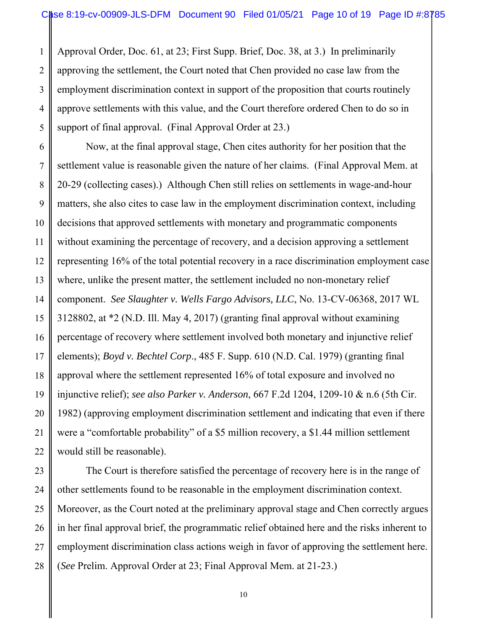employment discrimination context in support of the proposition that courts routinely 1 2 3 4 5 Approval Order, Doc. 61, at 23; First Supp. Brief, Doc. 38, at 3.) In preliminarily approving the settlement, the Court noted that Chen provided no case law from the approve settlements with this value, and the Court therefore ordered Chen to do so in support of final approval. (Final Approval Order at 23.)

6

7

8

9

10

11

12

13

14

15

16

17

18

19

20

21

22

23

24

25

26

27

28

Now, at the final approval stage, Chen cites authority for her position that the settlement value is reasonable given the nature of her claims. (Final Approval Mem. at 20-29 (collecting cases).) Although Chen still relies on settlements in wage-and-hour matters, she also cites to case law in the employment discrimination context, including decisions that approved settlements with monetary and programmatic components without examining the percentage of recovery, and a decision approving a settlement representing 16% of the total potential recovery in a race discrimination employment case where, unlike the present matter, the settlement included no non-monetary relief component. *See Slaughter v. Wells Fargo Advisors, LLC*, No. 13-CV-06368, 2017 WL 3128802, at \*2 (N.D. Ill. May 4, 2017) (granting final approval without examining percentage of recovery where settlement involved both monetary and injunctive relief elements); *Boyd v. Bechtel Corp*., 485 F. Supp. 610 (N.D. Cal. 1979) (granting final approval where the settlement represented 16% of total exposure and involved no injunctive relief); *see also Parker v. Anderson*, 667 F.2d 1204, 1209-10 & n.6 (5th Cir. 1982) (approving employment discrimination settlement and indicating that even if there were a "comfortable probability" of a \$5 million recovery, a \$1.44 million settlement would still be reasonable).

The Court is therefore satisfied the percentage of recovery here is in the range of other settlements found to be reasonable in the employment discrimination context. Moreover, as the Court noted at the preliminary approval stage and Chen correctly argues in her final approval brief, the programmatic relief obtained here and the risks inherent to employment discrimination class actions weigh in favor of approving the settlement here. (*See* Prelim. Approval Order at 23; Final Approval Mem. at 21-23.)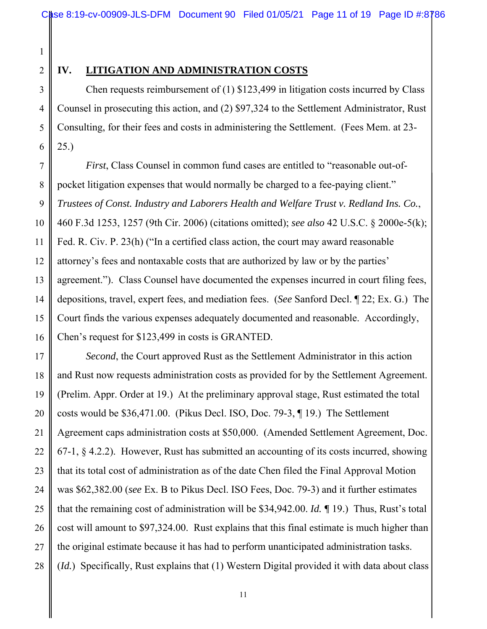8

9

10

11

12

13

14

15

16

17

18

19

20

21

22

23

24

25

26

27

28

# **IV. LITIGATION AND ADMINISTRATION COSTS**

Chen requests reimbursement of (1) \$123,499 in litigation costs incurred by Class Counsel in prosecuting this action, and (2) \$97,324 to the Settlement Administrator, Rust Consulting, for their fees and costs in administering the Settlement. (Fees Mem. at 23- 25.)

*First*, Class Counsel in common fund cases are entitled to "reasonable out-ofpocket litigation expenses that would normally be charged to a fee-paying client." *Trustees of Const. Industry and Laborers Health and Welfare Trust v. Redland Ins. Co.*, 460 F.3d 1253, 1257 (9th Cir. 2006) (citations omitted); *see also* 42 U.S.C. § 2000e-5(k); Fed. R. Civ. P. 23(h) ("In a certified class action, the court may award reasonable attorney's fees and nontaxable costs that are authorized by law or by the parties' agreement."). Class Counsel have documented the expenses incurred in court filing fees, depositions, travel, expert fees, and mediation fees. (*See* Sanford Decl. ¶ 22; Ex. G.) The Court finds the various expenses adequately documented and reasonable. Accordingly, Chen's request for \$123,499 in costs is GRANTED.

*Second*, the Court approved Rust as the Settlement Administrator in this action and Rust now requests administration costs as provided for by the Settlement Agreement. (Prelim. Appr. Order at 19.) At the preliminary approval stage, Rust estimated the total costs would be \$36,471.00. (Pikus Decl. ISO, Doc. 79-3, ¶ 19.) The Settlement Agreement caps administration costs at \$50,000. (Amended Settlement Agreement, Doc. 67-1, § 4.2.2). However, Rust has submitted an accounting of its costs incurred, showing that its total cost of administration as of the date Chen filed the Final Approval Motion was \$62,382.00 (*see* Ex. B to Pikus Decl. ISO Fees, Doc. 79-3) and it further estimates that the remaining cost of administration will be \$34,942.00. *Id. ¶* 19.) Thus, Rust's total cost will amount to \$97,324.00. Rust explains that this final estimate is much higher than the original estimate because it has had to perform unanticipated administration tasks. (*Id.*) Specifically, Rust explains that (1) Western Digital provided it with data about class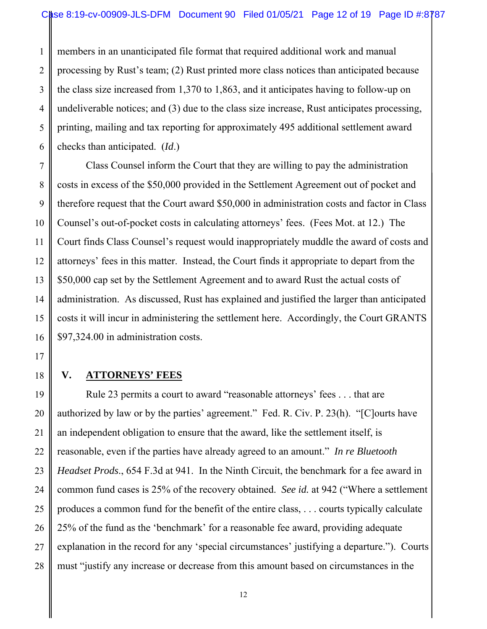the class size increased from 1,370 to 1,863, and it anticipates having to follow-up on 1 2 3 4 5 6 members in an unanticipated file format that required additional work and manual processing by Rust's team; (2) Rust printed more class notices than anticipated because undeliverable notices; and (3) due to the class size increase, Rust anticipates processing, printing, mailing and tax reporting for approximately 495 additional settlement award checks than anticipated. (*Id*.)

Class Counsel inform the Court that they are willing to pay the administration costs in excess of the \$50,000 provided in the Settlement Agreement out of pocket and therefore request that the Court award \$50,000 in administration costs and factor in Class Counsel's out-of-pocket costs in calculating attorneys' fees. (Fees Mot. at 12.) The Court finds Class Counsel's request would inappropriately muddle the award of costs and attorneys' fees in this matter. Instead, the Court finds it appropriate to depart from the \$50,000 cap set by the Settlement Agreement and to award Rust the actual costs of administration. As discussed, Rust has explained and justified the larger than anticipated costs it will incur in administering the settlement here. Accordingly, the Court GRANTS \$97,324.00 in administration costs.

#### **V. ATTORNEYS' FEES**

Rule 23 permits a court to award "reasonable attorneys' fees . . . that are authorized by law or by the parties' agreement." Fed. R. Civ. P. 23(h). "[C]ourts have an independent obligation to ensure that the award, like the settlement itself, is reasonable, even if the parties have already agreed to an amount." *In re Bluetooth Headset Prods*., 654 F.3d at 941. In the Ninth Circuit, the benchmark for a fee award in common fund cases is 25% of the recovery obtained. *See id.* at 942 ("Where a settlement produces a common fund for the benefit of the entire class, . . . courts typically calculate 25% of the fund as the 'benchmark' for a reasonable fee award, providing adequate explanation in the record for any 'special circumstances' justifying a departure."). Courts must "justify any increase or decrease from this amount based on circumstances in the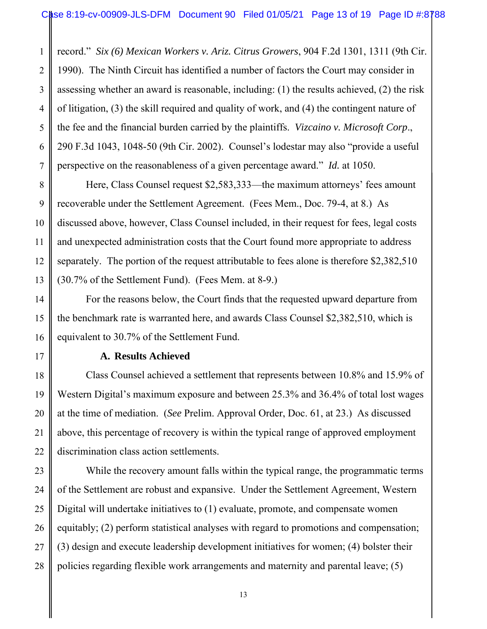assessing whether an award is reasonable, including: (1) the results achieved, (2) the risk 1 2 3 4 5 6 7 record." *Six (6) Mexican Workers v. Ariz. Citrus Growers*, 904 F.2d 1301, 1311 (9th Cir. 1990). The Ninth Circuit has identified a number of factors the Court may consider in of litigation, (3) the skill required and quality of work, and (4) the contingent nature of the fee and the financial burden carried by the plaintiffs. *Vizcaino v. Microsoft Corp*., 290 F.3d 1043, 1048-50 (9th Cir. 2002). Counsel's lodestar may also "provide a useful perspective on the reasonableness of a given percentage award." *Id.* at 1050.

Here, Class Counsel request \$2,583,333—the maximum attorneys' fees amount recoverable under the Settlement Agreement. (Fees Mem., Doc. 79-4, at 8.) As discussed above, however, Class Counsel included, in their request for fees, legal costs and unexpected administration costs that the Court found more appropriate to address separately. The portion of the request attributable to fees alone is therefore \$2,382,510 (30.7% of the Settlement Fund). (Fees Mem. at 8-9.)

For the reasons below, the Court finds that the requested upward departure from the benchmark rate is warranted here, and awards Class Counsel \$2,382,510, which is equivalent to 30.7% of the Settlement Fund.

#### **A. Results Achieved**

8

9

10

11

12

13

14

15

16

17

18

19

20

21

22

23

24

25

26

27

28

Class Counsel achieved a settlement that represents between 10.8% and 15.9% of Western Digital's maximum exposure and between 25.3% and 36.4% of total lost wages at the time of mediation. (*See* Prelim. Approval Order, Doc. 61, at 23.) As discussed above, this percentage of recovery is within the typical range of approved employment discrimination class action settlements.

While the recovery amount falls within the typical range, the programmatic terms of the Settlement are robust and expansive. Under the Settlement Agreement, Western Digital will undertake initiatives to (1) evaluate, promote, and compensate women equitably; (2) perform statistical analyses with regard to promotions and compensation; (3) design and execute leadership development initiatives for women; (4) bolster their policies regarding flexible work arrangements and maternity and parental leave; (5)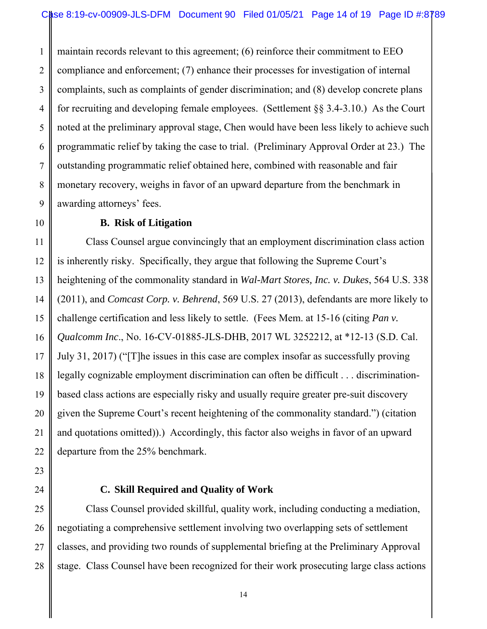complaints, such as complaints of gender discrimination; and (8) develop concrete plans 1 2 3 4 5 6 7 8 9 maintain records relevant to this agreement; (6) reinforce their commitment to EEO compliance and enforcement; (7) enhance their processes for investigation of internal for recruiting and developing female employees. (Settlement §§ 3.4-3.10.) As the Court noted at the preliminary approval stage, Chen would have been less likely to achieve such programmatic relief by taking the case to trial. (Preliminary Approval Order at 23.) The outstanding programmatic relief obtained here, combined with reasonable and fair monetary recovery, weighs in favor of an upward departure from the benchmark in awarding attorneys' fees.

#### **B. Risk of Litigation**

10

11

12

13

14

15

16

17

18

19

20

21

22

23

24

25

26

27

28

Class Counsel argue convincingly that an employment discrimination class action is inherently risky. Specifically, they argue that following the Supreme Court's heightening of the commonality standard in *Wal-Mart Stores, Inc. v. Dukes*, 564 U.S. 338 (2011), and *Comcast Corp. v. Behrend*, 569 U.S. 27 (2013), defendants are more likely to challenge certification and less likely to settle. (Fees Mem. at 15-16 (citing *Pan v. Qualcomm Inc*., No. 16-CV-01885-JLS-DHB, 2017 WL 3252212, at \*12-13 (S.D. Cal. July 31, 2017) ("[T]he issues in this case are complex insofar as successfully proving legally cognizable employment discrimination can often be difficult . . . discriminationbased class actions are especially risky and usually require greater pre-suit discovery given the Supreme Court's recent heightening of the commonality standard.") (citation and quotations omitted)).) Accordingly, this factor also weighs in favor of an upward departure from the 25% benchmark.

# **C. Skill Required and Quality of Work**

Class Counsel provided skillful, quality work, including conducting a mediation, negotiating a comprehensive settlement involving two overlapping sets of settlement classes, and providing two rounds of supplemental briefing at the Preliminary Approval stage. Class Counsel have been recognized for their work prosecuting large class actions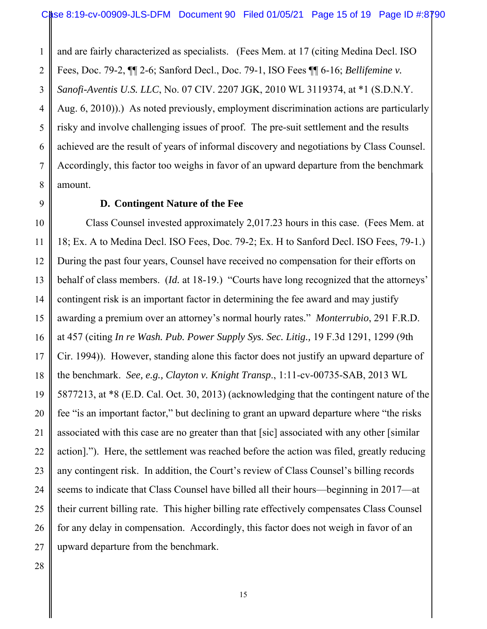*Sanofi-Aventis U.S. LLC*, No. 07 CIV. 2207 JGK, 2010 WL 3119374, at \*1 (S.D.N.Y. 1 2 3 4 5 6 7 8 and are fairly characterized as specialists. (Fees Mem. at 17 (citing Medina Decl. ISO Fees, Doc. 79-2, ¶¶ 2-6; Sanford Decl., Doc. 79-1, ISO Fees ¶¶ 6-16; *Bellifemine v.*  Aug. 6, 2010)).) As noted previously, employment discrimination actions are particularly risky and involve challenging issues of proof. The pre-suit settlement and the results achieved are the result of years of informal discovery and negotiations by Class Counsel. Accordingly, this factor too weighs in favor of an upward departure from the benchmark amount.

#### **D. Contingent Nature of the Fee**

10 11 12 13 14 15 16 17 18 19 20 21 22 23 Class Counsel invested approximately 2,017.23 hours in this case. (Fees Mem. at 18; Ex. A to Medina Decl. ISO Fees, Doc. 79-2; Ex. H to Sanford Decl. ISO Fees, 79-1.) During the past four years, Counsel have received no compensation for their efforts on behalf of class members. (*Id.* at 18-19.) "Courts have long recognized that the attorneys' contingent risk is an important factor in determining the fee award and may justify awarding a premium over an attorney's normal hourly rates." *Monterrubio*, 291 F.R.D. at 457 (citing *In re Wash. Pub. Power Supply Sys. Sec. Litig.,* 19 F.3d 1291, 1299 (9th Cir. 1994)). However, standing alone this factor does not justify an upward departure of the benchmark. *See, e.g., Clayton v. Knight Transp*., 1:11-cv-00735-SAB, 2013 WL 5877213, at \*8 (E.D. Cal. Oct. 30, 2013) (acknowledging that the contingent nature of the fee "is an important factor," but declining to grant an upward departure where "the risks associated with this case are no greater than that [sic] associated with any other [similar action]."). Here, the settlement was reached before the action was filed, greatly reducing any contingent risk. In addition, the Court's review of Class Counsel's billing records seems to indicate that Class Counsel have billed all their hours—beginning in 2017—at their current billing rate. This higher billing rate effectively compensates Class Counsel for any delay in compensation. Accordingly, this factor does not weigh in favor of an upward departure from the benchmark.

9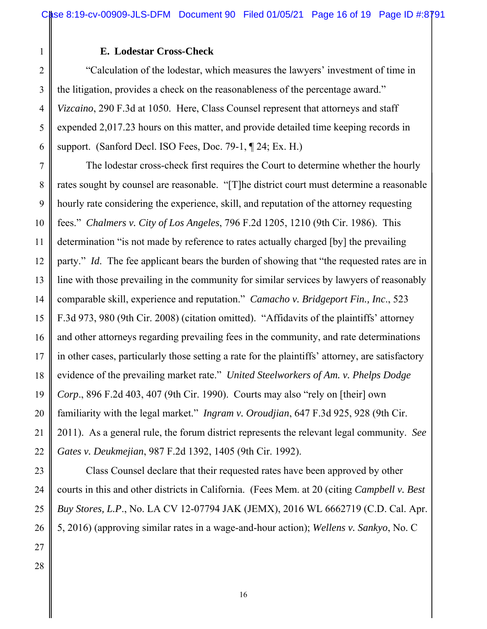#### **E. Lodestar Cross-Check**

 the litigation, provides a check on the reasonableness of the percentage award." "Calculation of the lodestar, which measures the lawyers' investment of time in *Vizcaino*, 290 F.3d at 1050. Here, Class Counsel represent that attorneys and staff expended 2,017.23 hours on this matter, and provide detailed time keeping records in support. (Sanford Decl. ISO Fees, Doc. 79-1, ¶ 24; Ex. H.)

The lodestar cross-check first requires the Court to determine whether the hourly rates sought by counsel are reasonable. "[T]he district court must determine a reasonable hourly rate considering the experience, skill, and reputation of the attorney requesting fees." *Chalmers v. City of Los Angeles*, 796 F.2d 1205, 1210 (9th Cir. 1986). This determination "is not made by reference to rates actually charged [by] the prevailing party." *Id*. The fee applicant bears the burden of showing that "the requested rates are in line with those prevailing in the community for similar services by lawyers of reasonably comparable skill, experience and reputation." *Camacho v. Bridgeport Fin., Inc*., 523 F.3d 973, 980 (9th Cir. 2008) (citation omitted). "Affidavits of the plaintiffs' attorney and other attorneys regarding prevailing fees in the community, and rate determinations in other cases, particularly those setting a rate for the plaintiffs' attorney, are satisfactory evidence of the prevailing market rate." *United Steelworkers of Am. v. Phelps Dodge Corp*., 896 F.2d 403, 407 (9th Cir. 1990). Courts may also "rely on [their] own familiarity with the legal market." *Ingram v. Oroudjian*, 647 F.3d 925, 928 (9th Cir. 2011). As a general rule, the forum district represents the relevant legal community. *See Gates v. Deukmejian*, 987 F.2d 1392, 1405 (9th Cir. 1992).

Class Counsel declare that their requested rates have been approved by other courts in this and other districts in California. (Fees Mem. at 20 (citing *Campbell v. Best Buy Stores, L.P*., No. LA CV 12-07794 JAK (JEMX), 2016 WL 6662719 (C.D. Cal. Apr. 5, 2016) (approving similar rates in a wage-and-hour action); *Wellens v. Sankyo*, No. C

1

2

3

4

5

6

7

8

9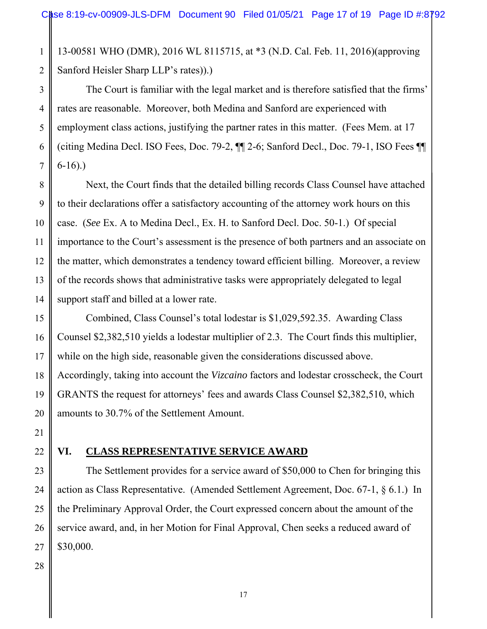13-00581 WHO (DMR), 2016 WL 8115715, at \*3 (N.D. Cal. Feb. 11, 2016)(approving Sanford Heisler Sharp LLP's rates)).)

The Court is familiar with the legal market and is therefore satisfied that the firms' rates are reasonable. Moreover, both Medina and Sanford are experienced with employment class actions, justifying the partner rates in this matter. (Fees Mem. at 17 (citing Medina Decl. ISO Fees, Doc. 79-2, ¶¶ 2-6; Sanford Decl., Doc. 79-1, ISO Fees ¶¶ 6-16).)

Next, the Court finds that the detailed billing records Class Counsel have attached to their declarations offer a satisfactory accounting of the attorney work hours on this case. (*See* Ex. A to Medina Decl., Ex. H. to Sanford Decl. Doc. 50-1.) Of special importance to the Court's assessment is the presence of both partners and an associate on the matter, which demonstrates a tendency toward efficient billing. Moreover, a review of the records shows that administrative tasks were appropriately delegated to legal support staff and billed at a lower rate.

Combined, Class Counsel's total lodestar is \$1,029,592.35. Awarding Class Counsel \$2,382,510 yields a lodestar multiplier of 2.3. The Court finds this multiplier, while on the high side, reasonable given the considerations discussed above. Accordingly, taking into account the *Vizcaino* factors and lodestar crosscheck, the Court GRANTS the request for attorneys' fees and awards Class Counsel \$2,382,510, which amounts to 30.7% of the Settlement Amount.

# **VI. CLASS REPRESENTATIVE SERVICE AWARD**

The Settlement provides for a service award of \$50,000 to Chen for bringing this action as Class Representative. (Amended Settlement Agreement, Doc. 67-1, § 6.1.) In the Preliminary Approval Order, the Court expressed concern about the amount of the service award, and, in her Motion for Final Approval, Chen seeks a reduced award of \$30,000.

1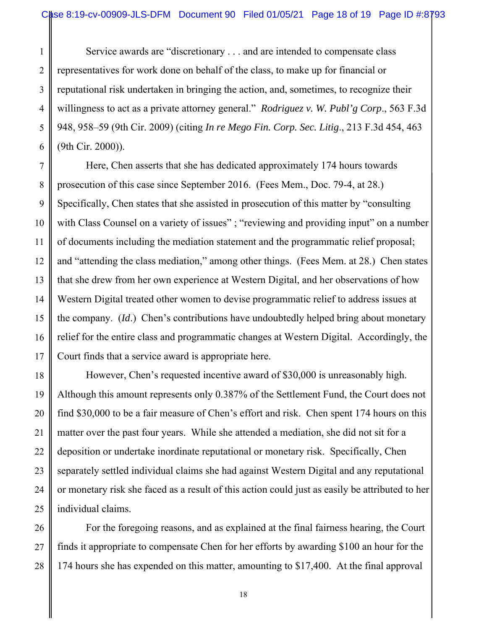reputational risk undertaken in bringing the action, and, sometimes, to recognize their Service awards are "discretionary . . . and are intended to compensate class representatives for work done on behalf of the class, to make up for financial or willingness to act as a private attorney general." *Rodriguez v. W. Publ'g Corp*., 563 F.3d 948, 958–59 (9th Cir. 2009) (citing *In re Mego Fin. Corp. Sec. Litig*., 213 F.3d 454, 463 (9th Cir. 2000)).

Here, Chen asserts that she has dedicated approximately 174 hours towards prosecution of this case since September 2016. (Fees Mem., Doc. 79-4, at 28.) Specifically, Chen states that she assisted in prosecution of this matter by "consulting with Class Counsel on a variety of issues"; "reviewing and providing input" on a number of documents including the mediation statement and the programmatic relief proposal; and "attending the class mediation," among other things. (Fees Mem. at 28.) Chen states that she drew from her own experience at Western Digital, and her observations of how Western Digital treated other women to devise programmatic relief to address issues at the company. (*Id*.) Chen's contributions have undoubtedly helped bring about monetary relief for the entire class and programmatic changes at Western Digital. Accordingly, the Court finds that a service award is appropriate here.

However, Chen's requested incentive award of \$30,000 is unreasonably high. Although this amount represents only 0.387% of the Settlement Fund, the Court does not find \$30,000 to be a fair measure of Chen's effort and risk. Chen spent 174 hours on this matter over the past four years. While she attended a mediation, she did not sit for a deposition or undertake inordinate reputational or monetary risk. Specifically, Chen separately settled individual claims she had against Western Digital and any reputational or monetary risk she faced as a result of this action could just as easily be attributed to her individual claims.

For the foregoing reasons, and as explained at the final fairness hearing, the Court finds it appropriate to compensate Chen for her efforts by awarding \$100 an hour for the 174 hours she has expended on this matter, amounting to \$17,400. At the final approval